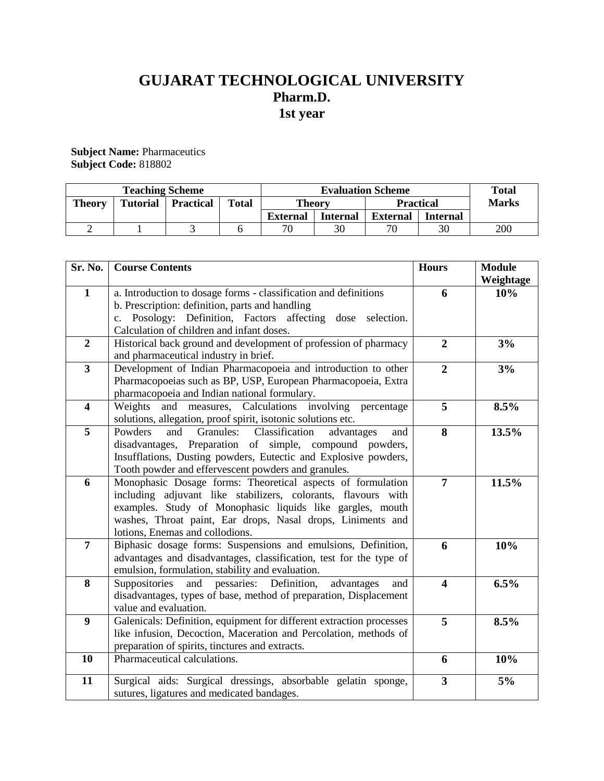# **GUJARAT TECHNOLOGICAL UNIVERSITY Pharm.D. 1st year**

**Subject Name:** Pharmaceutics **Subject Code:** 818802

| <b>Teaching Scheme</b> |                 |                  |              | <b>Evaluation Scheme</b> |                 |                  |                 | <b>Total</b> |
|------------------------|-----------------|------------------|--------------|--------------------------|-----------------|------------------|-----------------|--------------|
| <b>Theory</b>          | <b>Tutorial</b> | <b>Practical</b> | <b>Total</b> | <b>Theory</b>            |                 | <b>Practical</b> |                 | <b>Marks</b> |
|                        |                 |                  |              | External                 | <b>Internal</b> | External         | <b>Internal</b> |              |
|                        |                 |                  |              | 70                       | 30              |                  | 30              | 200          |

| Sr. No.                 | <b>Course Contents</b>                                                                                    | <b>Hours</b>            | <b>Module</b> |
|-------------------------|-----------------------------------------------------------------------------------------------------------|-------------------------|---------------|
|                         |                                                                                                           |                         | Weightage     |
| $\mathbf{1}$            | a. Introduction to dosage forms - classification and definitions                                          | 6                       | 10%           |
|                         | b. Prescription: definition, parts and handling                                                           |                         |               |
|                         | c. Posology: Definition, Factors affecting dose selection.                                                |                         |               |
|                         | Calculation of children and infant doses.                                                                 |                         |               |
| $\overline{2}$          | Historical back ground and development of profession of pharmacy<br>and pharmaceutical industry in brief. | $\overline{2}$          | 3%            |
| $\mathbf{3}$            | Development of Indian Pharmacopoeia and introduction to other                                             | $\overline{2}$          | 3%            |
|                         | Pharmacopoeias such as BP, USP, European Pharmacopoeia, Extra                                             |                         |               |
|                         | pharmacopoeia and Indian national formulary.                                                              |                         |               |
| $\overline{\mathbf{4}}$ | and measures, Calculations involving<br>Weights<br>percentage                                             | 5                       | 8.5%          |
|                         | solutions, allegation, proof spirit, isotonic solutions etc.                                              |                         |               |
| $\overline{5}$          | Powders<br>and<br>Granules:<br>Classification<br>advantages<br>and                                        | 8                       | 13.5%         |
|                         | disadvantages, Preparation of simple, compound powders,                                                   |                         |               |
|                         | Insufflations, Dusting powders, Eutectic and Explosive powders,                                           |                         |               |
|                         | Tooth powder and effervescent powders and granules.                                                       |                         |               |
| 6                       | Monophasic Dosage forms: Theoretical aspects of formulation                                               | $\overline{7}$          | 11.5%         |
|                         | including adjuvant like stabilizers, colorants, flavours with                                             |                         |               |
|                         | examples. Study of Monophasic liquids like gargles, mouth                                                 |                         |               |
|                         | washes, Throat paint, Ear drops, Nasal drops, Liniments and                                               |                         |               |
|                         | lotions, Enemas and collodions.                                                                           |                         |               |
| $\overline{7}$          | Biphasic dosage forms: Suspensions and emulsions, Definition,                                             | 6                       | 10%           |
|                         | advantages and disadvantages, classification, test for the type of                                        |                         |               |
|                         | emulsion, formulation, stability and evaluation.                                                          |                         |               |
| 8                       | pessaries: Definition,<br>Suppositories and<br>advantages<br>and                                          | $\overline{\mathbf{4}}$ | 6.5%          |
|                         | disadvantages, types of base, method of preparation, Displacement                                         |                         |               |
|                         | value and evaluation.                                                                                     |                         |               |
| $\boldsymbol{9}$        | Galenicals: Definition, equipment for different extraction processes                                      | 5                       | 8.5%          |
|                         | like infusion, Decoction, Maceration and Percolation, methods of                                          |                         |               |
|                         | preparation of spirits, tinctures and extracts.                                                           |                         |               |
| 10                      | Pharmaceutical calculations.                                                                              | 6                       | 10%           |
| 11                      | Surgical aids: Surgical dressings, absorbable gelatin sponge,                                             | 3                       | 5%            |
|                         | sutures, ligatures and medicated bandages.                                                                |                         |               |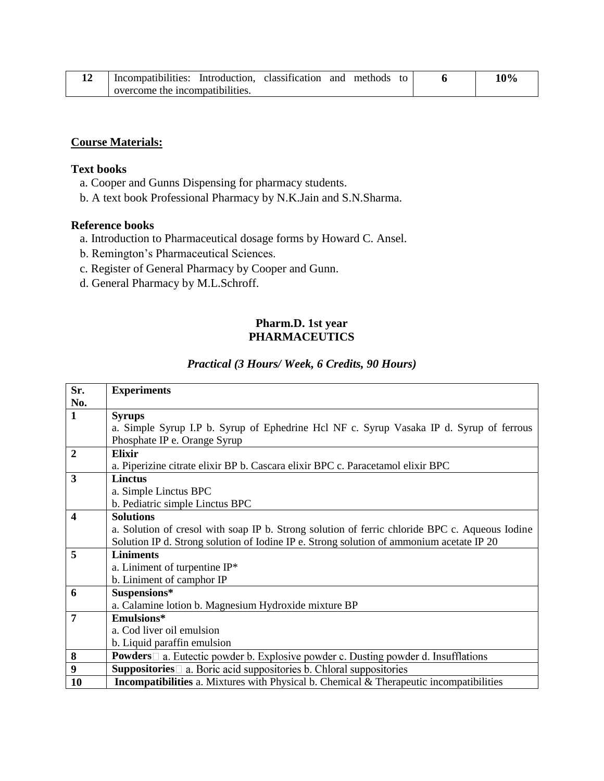| 14 | Incompatibilities: Introduction, classification and methods to |  |  |  |  |  | 10% |
|----|----------------------------------------------------------------|--|--|--|--|--|-----|
|    | overcome the incompatibilities.                                |  |  |  |  |  |     |

## **Course Materials:**

#### **Text books**

- a. Cooper and Gunns Dispensing for pharmacy students.
- b. A text book Professional Pharmacy by N.K.Jain and S.N.Sharma.

#### **Reference books**

- a. Introduction to Pharmaceutical dosage forms by Howard C. Ansel.
- b. Remington's Pharmaceutical Sciences.
- c. Register of General Pharmacy by Cooper and Gunn.
- d. General Pharmacy by M.L.Schroff.

#### **Pharm.D. 1st year PHARMACEUTICS**

### *Practical (3 Hours/ Week, 6 Credits, 90 Hours)*

| Sr.              | <b>Experiments</b>                                                                              |
|------------------|-------------------------------------------------------------------------------------------------|
| No.              |                                                                                                 |
| $\mathbf{1}$     | <b>Syrups</b>                                                                                   |
|                  | a. Simple Syrup I.P b. Syrup of Ephedrine Hcl NF c. Syrup Vasaka IP d. Syrup of ferrous         |
|                  | Phosphate IP e. Orange Syrup                                                                    |
| $\mathbf{2}$     | Elixir                                                                                          |
|                  | a. Piperizine citrate elixir BP b. Cascara elixir BPC c. Paracetamol elixir BPC                 |
| 3                | <b>Linctus</b>                                                                                  |
|                  | a. Simple Linctus BPC                                                                           |
|                  | b. Pediatric simple Linctus BPC                                                                 |
| 4                | <b>Solutions</b>                                                                                |
|                  | a. Solution of cresol with soap IP b. Strong solution of ferric chloride BPC c. Aqueous Iodine  |
|                  | Solution IP d. Strong solution of Iodine IP e. Strong solution of ammonium acetate IP 20        |
| 5                | <b>Liniments</b>                                                                                |
|                  | a. Liniment of turpentine $IP^*$                                                                |
|                  | b. Liniment of camphor IP                                                                       |
| 6                | Suspensions*                                                                                    |
|                  | a. Calamine lotion b. Magnesium Hydroxide mixture BP                                            |
| 7                | Emulsions*                                                                                      |
|                  | a. Cod liver oil emulsion                                                                       |
|                  | b. Liquid paraffin emulsion                                                                     |
| 8                | <b>Powders</b> $\Box$ a. Eutectic powder b. Explosive powder c. Dusting powder d. Insufflations |
| $\boldsymbol{9}$ | <b>Suppositories</b> $\Box$ a. Boric acid suppositories b. Chloral suppositories                |
| <b>10</b>        | <b>Incompatibilities</b> a. Mixtures with Physical b. Chemical & Therapeutic incompatibilities  |